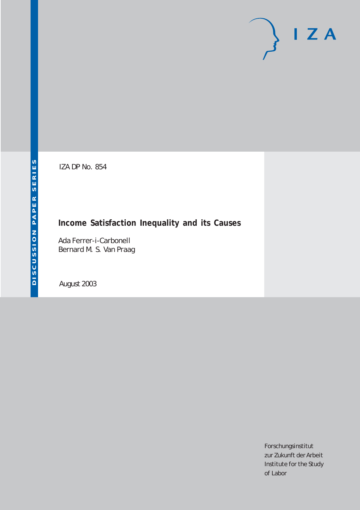# $I Z A$

IZA DP No. 854

## **Income Satisfaction Inequality and its Causes**

Ada Ferrer-i-Carbonell Bernard M. S. Van Praag

August 2003

Forschungsinstitut zur Zukunft der Arbeit Institute for the Study of Labor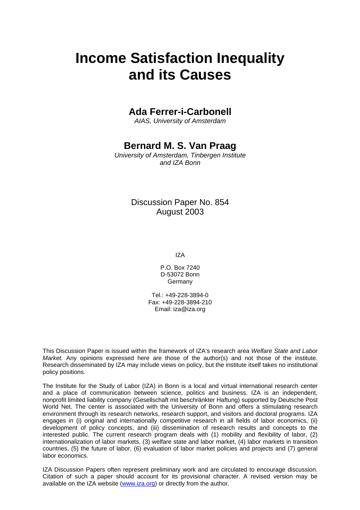# **Income Satisfaction Inequality and its Causes**

## **Ada Ferrer-i-Carbonell**

*AIAS, University of Amsterdam* 

## **Bernard M. S. Van Praag**

*University of Amsterdam, Tinbergen Institute and IZA Bonn* 

### Discussion Paper No. 854 August 2003

IZA

P.O. Box 7240 D-53072 Bonn **Germany** 

Tel.: +49-228-3894-0 Fax: +49-228-3894-210 Email: [iza@iza.org](mailto:iza@iza.org)

This Discussion Paper is issued within the framework of IZA's research area *Welfare State and Labor Market.* Any opinions expressed here are those of the author(s) and not those of the institute. Research disseminated by IZA may include views on policy, but the institute itself takes no institutional policy positions.

The Institute for the Study of Labor (IZA) in Bonn is a local and virtual international research center and a place of communication between science, politics and business. IZA is an independent, nonprofit limited liability company (Gesellschaft mit beschränkter Haftung) supported by Deutsche Post World Net. The center is associated with the University of Bonn and offers a stimulating research environment through its research networks, research support, and visitors and doctoral programs. IZA engages in (i) original and internationally competitive research in all fields of labor economics, (ii) development of policy concepts, and (iii) dissemination of research results and concepts to the interested public. The current research program deals with (1) mobility and flexibility of labor, (2) internationalization of labor markets, (3) welfare state and labor market, (4) labor markets in transition countries, (5) the future of labor, (6) evaluation of labor market policies and projects and (7) general labor economics.

IZA Discussion Papers often represent preliminary work and are circulated to encourage discussion. Citation of such a paper should account for its provisional character. A revised version may be available on the IZA website ([www.iza.org](http://www.iza.org/)) or directly from the author.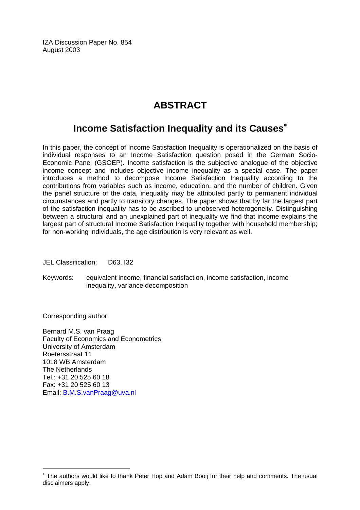IZA Discussion Paper No. 854 August 2003

## **ABSTRACT**

## **Income Satisfaction Inequality and its Causes**[∗](#page-2-0)

In this paper, the concept of Income Satisfaction Inequality is operationalized on the basis of individual responses to an Income Satisfaction question posed in the German Socio-Economic Panel (GSOEP). Income satisfaction is the subjective analogue of the objective income concept and includes objective income inequality as a special case. The paper introduces a method to decompose Income Satisfaction Inequality according to the contributions from variables such as income, education, and the number of children. Given the panel structure of the data, inequality may be attributed partly to permanent individual circumstances and partly to transitory changes. The paper shows that by far the largest part of the satisfaction inequality has to be ascribed to unobserved heterogeneity. Distinguishing between a structural and an unexplained part of inequality we find that income explains the largest part of structural Income Satisfaction Inequality together with household membership; for non-working individuals, the age distribution is very relevant as well.

JEL Classification: D63, I32

Keywords: equivalent income, financial satisfaction, income satisfaction, income inequality, variance decomposition

Corresponding author:

 $\overline{a}$ 

Bernard M.S. van Praag Faculty of Economics and Econometrics University of Amsterdam Roetersstraat 11 1018 WB Amsterdam The Netherlands Tel.: +31 20 525 60 18 Fax: +31 20 525 60 13 Email: [B.M.S.vanPraag@uva.nl](mailto:B.M.S.vanPraag@uva.nl) 

<span id="page-2-0"></span><sup>∗</sup> The authors would like to thank Peter Hop and Adam Booij for their help and comments. The usual disclaimers apply.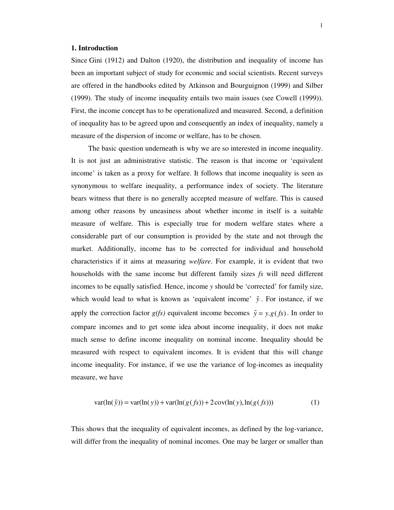#### **1. Introduction**

Since Gini (1912) and Dalton (1920), the distribution and inequality of income has been an important subject of study for economic and social scientists. Recent surveys are offered in the handbooks edited by Atkinson and Bourguignon (1999) and Silber (1999). The study of income inequality entails two main issues (see Cowell (1999)). First, the income concept has to be operationalized and measured. Second, a definition of inequality has to be agreed upon and consequently an index of inequality, namely a measure of the dispersion of income or welfare, has to be chosen.

The basic question underneath is why we are so interested in income inequality. It is not just an administrative statistic. The reason is that income or 'equivalent income' is taken as a proxy for welfare. It follows that income inequality is seen as synonymous to welfare inequality, a performance index of society. The literature bears witness that there is no generally accepted measure of welfare. This is caused among other reasons by uneasiness about whether income in itself is a suitable measure of welfare. This is especially true for modern welfare states where a considerable part of our consumption is provided by the state and not through the market. Additionally, income has to be corrected for individual and household characteristics if it aims at measuring *welfare*. For example, it is evident that two households with the same income but different family sizes *fs* will need different incomes to be equally satisfied. Hence, income *y* should be 'corrected' for family size, which would lead to what is known as 'equivalent income'  $\tilde{y}$ . For instance, if we apply the correction factor  $g(fs)$  equivalent income becomes  $\tilde{y} = y.g(fs)$ . In order to compare incomes and to get some idea about income inequality, it does not make much sense to define income inequality on nominal income. Inequality should be measured with respect to equivalent incomes. It is evident that this will change income inequality. For instance, if we use the variance of log-incomes as inequality measure, we have

$$
var(ln(\tilde{y})) = var(ln(y)) + var(ln(g(fs)) + 2cov(ln(y), ln(g(fs)))
$$
\n(1)

This shows that the inequality of equivalent incomes, as defined by the log-variance, will differ from the inequality of nominal incomes. One may be larger or smaller than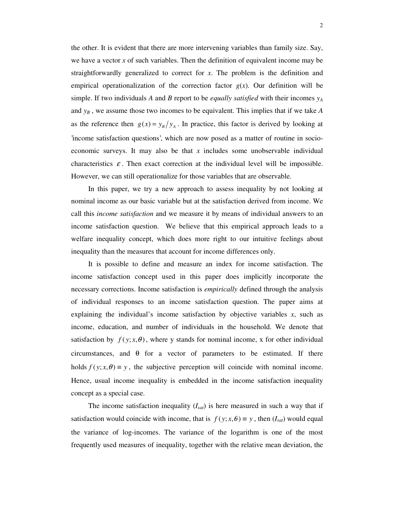the other. It is evident that there are more intervening variables than family size. Say, we have a vector *x* of such variables. Then the definition of equivalent income may be straightforwardly generalized to correct for *x*. The problem is the definition and empirical operationalization of the correction factor  $g(x)$ . Our definition will be simple. If two individuals A and B report to be *equally satisfied* with their incomes  $y_A$ and *y<sup>B</sup>* , we assume those two incomes to be equivalent. This implies that if we take *A* as the reference then  $g(x) = y_B / y_A$ . In practice, this factor is derived by looking at 'income satisfaction questions', which are now posed as a matter of routine in socioeconomic surveys. It may also be that *x* includes some unobservable individual characteristics  $\varepsilon$ . Then exact correction at the individual level will be impossible. However, we can still operationalize for those variables that are observable.

In this paper, we try a new approach to assess inequality by not looking at nominal income as our basic variable but at the satisfaction derived from income. We call this *income satisfaction* and we measure it by means of individual answers to an income satisfaction question. We believe that this empirical approach leads to a welfare inequality concept, which does more right to our intuitive feelings about inequality than the measures that account for income differences only.

It is possible to define and measure an index for income satisfaction. The income satisfaction concept used in this paper does implicitly incorporate the necessary corrections. Income satisfaction is *empirically* defined through the analysis of individual responses to an income satisfaction question. The paper aims at explaining the individual's income satisfaction by objective variables *x*, such as income, education, and number of individuals in the household. We denote that satisfaction by  $f(y; x, \theta)$ , where y stands for nominal income, x for other individual circumstances, and  $\theta$  for a vector of parameters to be estimated. If there holds  $f(y; x, \theta) \equiv y$ , the subjective perception will coincide with nominal income. Hence, usual income inequality is embedded in the income satisfaction inequality concept as a special case.

The income satisfaction inequality (*Isat*) is here measured in such a way that if satisfaction would coincide with income, that is  $f(y; x, \theta) \equiv y$ , then  $(I_{sat})$  would equal the variance of log-incomes. The variance of the logarithm is one of the most frequently used measures of inequality, together with the relative mean deviation, the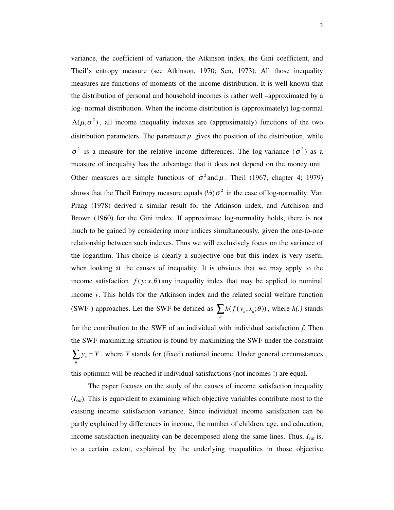variance, the coefficient of variation, the Atkinson index, the Gini coefficient, and Theil's entropy measure (see Atkinson, 1970; Sen, 1973). All those inequality measures are functions of moments of the income distribution. It is well known that the distribution of personal and household incomes is rather well –approximated by a log- normal distribution. When the income distribution is (approximately) log-normal  $\Lambda(\mu, \sigma^2)$ , all income inequality indexes are (approximately) functions of the two distribution parameters. The parameter  $\mu$  gives the position of the distribution, while  $\sigma^2$  is a measure for the relative income differences. The log-variance  $(\sigma^2)$  as a measure of inequality has the advantage that it does not depend on the money unit. Other measures are simple functions of  $\sigma^2$  and  $\mu$ . Theil (1967, chapter 4; 1979) shows that the Theil Entropy measure equals  $(½) \sigma^2$  in the case of log-normality. Van Praag (1978) derived a similar result for the Atkinson index, and Aitchison and Brown (1960) for the Gini index. If approximate log-normality holds, there is not much to be gained by considering more indices simultaneously, given the one-to-one relationship between such indexes. Thus we will exclusively focus on the variance of the logarithm. This choice is clearly a subjective one but this index is very useful when looking at the causes of inequality. It is obvious that we may apply to the income satisfaction  $f(y; x, \theta)$  any inequality index that may be applied to nominal income *y*. This holds for the Atkinson index and the related social welfare function (SWF-) approaches. Let the SWF be defined as  $\sum_{n} h(f(y_n, x_n; \theta))$ , where  $h(.)$  stands

for the contribution to the SWF of an individual with individual satisfaction *f.* Then the SWF-maximizing situation is found by maximizing the SWF under the constraint  $\sum_{n} y_n = Y$ , where *Y* stands for (fixed) national income. Under general circumstances this optimum will be reached if individual satisfactions (not incomes !) are equal.

The paper focuses on the study of the causes of income satisfaction inequality (*Isat*). This is equivalent to examining which objective variables contribute most to the existing income satisfaction variance. Since individual income satisfaction can be partly explained by differences in income, the number of children, age, and education, income satisfaction inequality can be decomposed along the same lines. Thus, *Isat* is, to a certain extent, explained by the underlying inequalities in those objective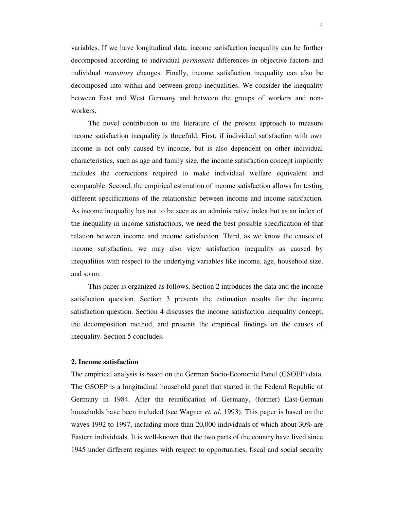variables. If we have longitudinal data, income satisfaction inequality can be further decomposed according to individual *permanent* differences in objective factors and individual *transitory* changes. Finally, income satisfaction inequality can also be decomposed into within-and between-group inequalities. We consider the inequality between East and West Germany and between the groups of workers and nonworkers.

The novel contribution to the literature of the present approach to measure income satisfaction inequality is threefold. First, if individual satisfaction with own income is not only caused by income, but is also dependent on other individual characteristics, such as age and family size, the income satisfaction concept implicitly includes the corrections required to make individual welfare equivalent and comparable. Second, the empirical estimation of income satisfaction allows for testing different specifications of the relationship between income and income satisfaction. As income inequality has not to be seen as an administrative index but as an index of the inequality in income satisfactions, we need the best possible specification of that relation between income and income satisfaction. Third, as we know the causes of income satisfaction, we may also view satisfaction inequality as caused by inequalities with respect to the underlying variables like income, age, household size, and so on.

This paper is organized as follows. Section 2 introduces the data and the income satisfaction question. Section 3 presents the estimation results for the income satisfaction question. Section 4 discusses the income satisfaction inequality concept, the decomposition method, and presents the empirical findings on the causes of inequality. Section 5 concludes.

#### **2. Income satisfaction**

The empirical analysis is based on the German Socio-Economic Panel (GSOEP) data. The GSOEP is a longitudinal household panel that started in the Federal Republic of Germany in 1984. After the reunification of Germany, (former) East-German households have been included (see Wagner *et. al*, 1993). This paper is based on the waves 1992 to 1997, including more than 20,000 individuals of which about 30% are Eastern individuals. It is well-known that the two parts of the country have lived since 1945 under different regimes with respect to opportunities, fiscal and social security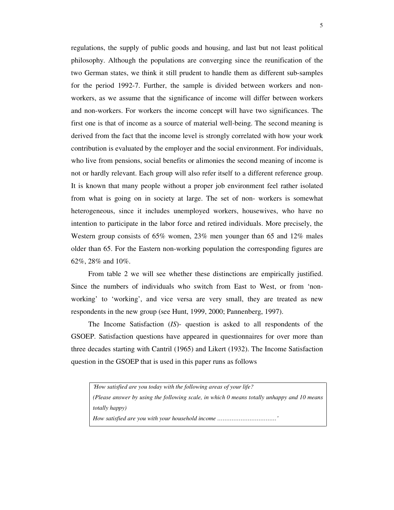regulations, the supply of public goods and housing, and last but not least political philosophy. Although the populations are converging since the reunification of the two German states, we think it still prudent to handle them as different sub-samples for the period 1992-7. Further, the sample is divided between workers and nonworkers, as we assume that the significance of income will differ between workers and non-workers. For workers the income concept will have two significances. The first one is that of income as a source of material well-being. The second meaning is derived from the fact that the income level is strongly correlated with how your work contribution is evaluated by the employer and the social environment. For individuals, who live from pensions, social benefits or alimonies the second meaning of income is not or hardly relevant. Each group will also refer itself to a different reference group. It is known that many people without a proper job environment feel rather isolated from what is going on in society at large. The set of non- workers is somewhat heterogeneous, since it includes unemployed workers, housewives, who have no intention to participate in the labor force and retired individuals. More precisely, the Western group consists of 65% women, 23% men younger than 65 and 12% males older than 65. For the Eastern non-working population the corresponding figures are 62%, 28% and 10%.

From table 2 we will see whether these distinctions are empirically justified. Since the numbers of individuals who switch from East to West, or from 'nonworking' to 'working' , and vice versa are very small, they are treated as new respondents in the new group (see Hunt, 1999, 2000; Pannenberg, 1997).

The Income Satisfaction (*IS*)- question is asked to all respondents of the GSOEP. Satisfaction questions have appeared in questionnaires for over more than three decades starting with Cantril (1965) and Likert (1932). The Income Satisfaction question in the GSOEP that is used in this paper runs as follows

*'How satisfied are you today with the following areas of your life? (Please answer by using the following scale, in which 0 means totally unhappy and 10 means totally happy) How satisfied are you with your household income ……………………………'*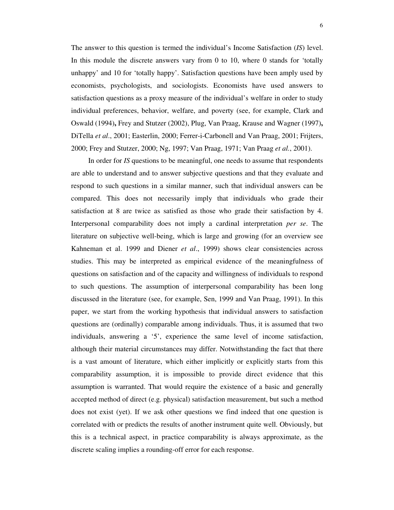The answer to this question is termed the individual's Income Satisfaction (*IS*) level. In this module the discrete answers vary from 0 to 10, where 0 stands for 'totally unhappy' and 10 for 'totally happy' . Satisfaction questions have been amply used by economists, psychologists, and sociologists. Economists have used answers to satisfaction questions as a proxy measure of the individual's welfare in order to study individual preferences, behavior, welfare, and poverty (see, for example, Clark and Oswald (1994)**,** Frey and Stutzer (2002), Plug, Van Praag, Krause and Wagner (1997)**,** DiTella *et al*., 2001; Easterlin, 2000; Ferrer-i-Carbonell and Van Praag, 2001; Frijters, 2000; Frey and Stutzer, 2000; Ng, 1997; Van Praag, 1971; Van Praag *et al.*, 2001).

In order for *IS* questions to be meaningful, one needs to assume that respondents are able to understand and to answer subjective questions and that they evaluate and respond to such questions in a similar manner, such that individual answers can be compared. This does not necessarily imply that individuals who grade their satisfaction at 8 are twice as satisfied as those who grade their satisfaction by 4. Interpersonal comparability does not imply a cardinal interpretation *per se*. The literature on subjective well-being, which is large and growing (for an overview see Kahneman et al. 1999 and Diener *et al*., 1999) shows clear consistencies across studies. This may be interpreted as empirical evidence of the meaningfulness of questions on satisfaction and of the capacity and willingness of individuals to respond to such questions. The assumption of interpersonal comparability has been long discussed in the literature (see, for example, Sen, 1999 and Van Praag, 1991). In this paper, we start from the working hypothesis that individual answers to satisfaction questions are (ordinally) comparable among individuals. Thus, it is assumed that two individuals, answering a '5' , experience the same level of income satisfaction, although their material circumstances may differ. Notwithstanding the fact that there is a vast amount of literature, which either implicitly or explicitly starts from this comparability assumption, it is impossible to provide direct evidence that this assumption is warranted. That would require the existence of a basic and generally accepted method of direct (e.g. physical) satisfaction measurement, but such a method does not exist (yet). If we ask other questions we find indeed that one question is correlated with or predicts the results of another instrument quite well. Obviously, but this is a technical aspect, in practice comparability is always approximate, as the discrete scaling implies a rounding-off error for each response.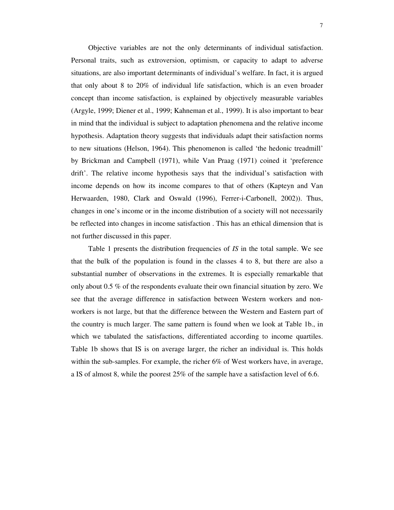Objective variables are not the only determinants of individual satisfaction. Personal traits, such as extroversion, optimism, or capacity to adapt to adverse situations, are also important determinants of individual's welfare. In fact, it is argued that only about 8 to 20% of individual life satisfaction, which is an even broader concept than income satisfaction, is explained by objectively measurable variables (Argyle, 1999; Diener et al., 1999; Kahneman et al., 1999). It is also important to bear in mind that the individual is subject to adaptation phenomena and the relative income hypothesis. Adaptation theory suggests that individuals adapt their satisfaction norms to new situations (Helson, 1964). This phenomenon is called 'the hedonic treadmill' by Brickman and Campbell (1971), while Van Praag (1971) coined it 'preference drift'. The relative income hypothesis says that the individual's satisfaction with income depends on how its income compares to that of others (Kapteyn and Van Herwaarden, 1980, Clark and Oswald (1996), Ferrer-i-Carbonell, 2002)). Thus, changes in one's income or in the income distribution of a society will not necessarily be reflected into changes in income satisfaction . This has an ethical dimension that is not further discussed in this paper.

Table 1 presents the distribution frequencies of *IS* in the total sample. We see that the bulk of the population is found in the classes 4 to 8, but there are also a substantial number of observations in the extremes. It is especially remarkable that only about 0.5 % of the respondents evaluate their own financial situation by zero. We see that the average difference in satisfaction between Western workers and nonworkers is not large, but that the difference between the Western and Eastern part of the country is much larger. The same pattern is found when we look at Table 1b., in which we tabulated the satisfactions, differentiated according to income quartiles. Table 1b shows that IS is on average larger, the richer an individual is. This holds within the sub-samples. For example, the richer 6% of West workers have, in average, a IS of almost 8, while the poorest 25% of the sample have a satisfaction level of 6.6.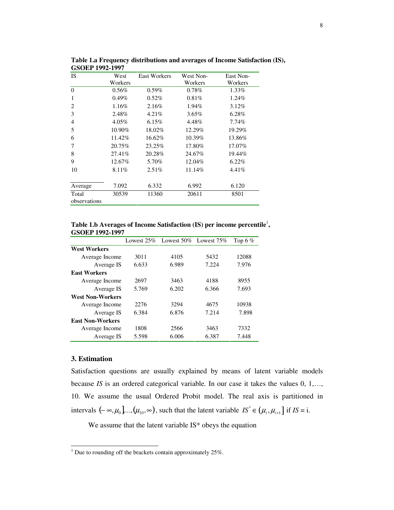| <b>IS</b>    | West     | <b>East Workers</b> | West Non- | East Non- |
|--------------|----------|---------------------|-----------|-----------|
|              | Workers  |                     | Workers   | Workers   |
| $\Omega$     | $0.56\%$ | $0.59\%$            | $0.78\%$  | 1.33%     |
| 1            | 0.49%    | $0.52\%$            | 0.81%     | 1.24%     |
| 2            | 1.16%    | 2.16%               | 1.94%     | 3.12%     |
| 3            | 2.48%    | 4.21%               | 3.65%     | 6.28%     |
| 4            | 4.05%    | 6.15%               | 4.48%     | $7.74\%$  |
| 5            | 10.90%   | 18.02%              | 12.29%    | 19.29%    |
| 6            | 11.42%   | 16.62%              | 10.39%    | 13.86%    |
| 7            | 20.75%   | 23.25%              | 17.80%    | 17.07%    |
| 8            | 27.41\%  | 20.28%              | 24.67%    | 19.44%    |
| 9            | 12.67%   | 5.70%               | 12.04%    | 6.22%     |
| 10           | $8.11\%$ | 2.51%               | 11.14%    | 4.41%     |
| Average      | 7.092    | 6.332               | 6.992     | 6.120     |
| Total        | 30539    | 11360               | 20611     | 8501      |
| observations |          |                     |           |           |

**Table 1.a Frequency distributions and averages of Income Satisfaction (IS), GSOEP 1992-1997**

**Table 1.b Averages of Income Satisfaction (IS) per income percentile** 1 **, GSOEP 1992-1997**

|                         | Lowest $25%$ | Lowest $50\%$ Lowest $75\%$ |       | Top 6 $%$ |
|-------------------------|--------------|-----------------------------|-------|-----------|
| <b>West Workers</b>     |              |                             |       |           |
| Average Income          | 3011         | 4105                        | 5432  | 12088     |
| Average IS              | 6.633        | 6.989                       | 7.224 | 7.976     |
| <b>East Workers</b>     |              |                             |       |           |
| Average Income          | 2697         | 3463                        | 4188  | 8955      |
| Average IS              | 5.769        | 6.202                       | 6.366 | 7.693     |
| <b>West Non-Workers</b> |              |                             |       |           |
| Average Income          | 2276         | 3294                        | 4675  | 10938     |
| Average IS              | 6.384        | 6.876                       | 7.214 | 7.898     |
| <b>East Non-Workers</b> |              |                             |       |           |
| Average Income          | 1808         | 2566                        | 3463  | 7332      |
| Average IS              | 5.598        | 6.006                       | 6.387 | 7.448     |

#### **3. Estimation**

Satisfaction questions are usually explained by means of latent variable models because *IS* is an ordered categorical variable*.* In our case it takes the values 0, 1,…, 10. We assume the usual Ordered Probit model. The real axis is partitioned in intervals  $(-\infty, \mu_0]$ ..., $(\mu_{10}, \infty)$ , such that the latent variable  $IS^* \in (\mu_i, \mu_{i+1}]$  if *IS* = i.

We assume that the latent variable IS\* obeys the equation

 $\frac{1}{1}$  Due to rounding off the brackets contain approximately 25%.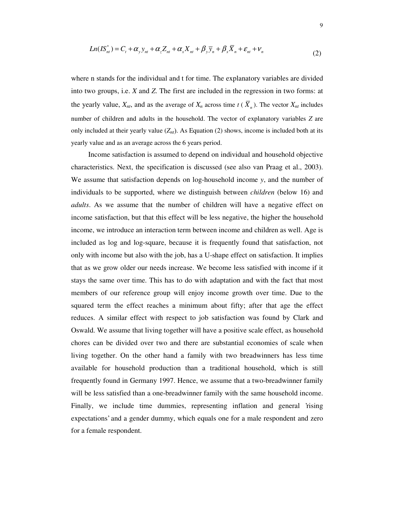$$
Ln(IS_{nt}^*) = C_t + \alpha_y y_{nt} + \alpha_z Z_{nt} + \alpha_x X_{nt} + \beta_y \overline{y}_n + \beta_x \overline{X}_n + \varepsilon_{nt} + \nu_n
$$
\n(2)

where n stands for the individual and t for time. The explanatory variables are divided into two groups, i.e. *X* and *Z*. The first are included in the regression in two forms: at the yearly value,  $X_{nt}$ , and as the average of  $X_n$  across time  $t \in (X_n)$ . The vector  $X_{nt}$  includes number of children and adults in the household. The vector of explanatory variables *Z* are only included at their yearly value  $(Z_{nt})$ . As Equation (2) shows, income is included both at its yearly value and as an average across the 6 years period.

Income satisfaction is assumed to depend on individual and household objective characteristics. Next, the specification is discussed (see also van Praag et al., 2003). We assume that satisfaction depends on log-household income *y*, and the number of individuals to be supported, where we distinguish between *children* (below 16) and *adults*. As we assume that the number of children will have a negative effect on income satisfaction, but that this effect will be less negative, the higher the household income, we introduce an interaction term between income and children as well. Age is included as log and log-square, because it is frequently found that satisfaction, not only with income but also with the job, has a U-shape effect on satisfaction. It implies that as we grow older our needs increase. We become less satisfied with income if it stays the same over time. This has to do with adaptation and with the fact that most members of our reference group will enjoy income growth over time. Due to the squared term the effect reaches a minimum about fifty; after that age the effect reduces. A similar effect with respect to job satisfaction was found by Clark and Oswald. We assume that living together will have a positive scale effect, as household chores can be divided over two and there are substantial economies of scale when living together. On the other hand a family with two breadwinners has less time available for household production than a traditional household, which is still frequently found in Germany 1997. Hence, we assume that a two-breadwinner family will be less satisfied than a one-breadwinner family with the same household income. Finally, we include time dummies, representing inflation and general *rising* expectations' and a gender dummy, which equals one for a male respondent and zero for a female respondent.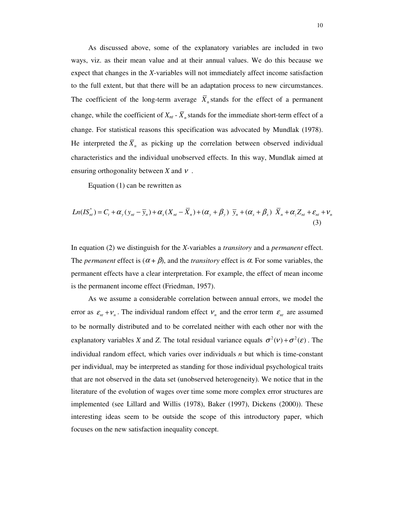As discussed above, some of the explanatory variables are included in two ways, viz. as their mean value and at their annual values. We do this because we expect that changes in the *X-*variables will not immediately affect income satisfaction to the full extent, but that there will be an adaptation process to new circumstances. The coefficient of the long-term average  $X_n$  stands for the effect of a permanent change, while the coefficient of  $X_{nt}$  -  $X_n$  stands for the immediate short-term effect of a change. For statistical reasons this specification was advocated by Mundlak (1978). He interpreted the  $X_n$  as picking up the correlation between observed individual characteristics and the individual unobserved effects. In this way, Mundlak aimed at ensuring orthogonality between *X* and <sup>ν</sup> .

Equation (1) can be rewritten as

$$
Ln(IS_m^*) = C_t + \alpha_y (y_m - \overline{y}_n) + \alpha_x (X_m - \overline{X}_n) + (\alpha_y + \beta_y) \overline{y}_n + (\alpha_x + \beta_x) \overline{X}_n + \alpha_z Z_m + \varepsilon_m + \nu_n
$$
\n(3)

In equation (2) we distinguish for the *X-*variables a *transitory* and a *permanent* effect. The *permanent* effect is  $(\alpha + \beta)$ , and the *transitory* effect is  $\alpha$ . For some variables, the permanent effects have a clear interpretation. For example, the effect of mean income is the permanent income effect (Friedman, 1957).

As we assume a considerable correlation between annual errors, we model the error as  $\varepsilon_{nt} + v_n$ . The individual random effect  $v_n$  and the error term  $\varepsilon_{nt}$  are assumed to be normally distributed and to be correlated neither with each other nor with the explanatory variables *X* and *Z*. The total residual variance equals  $\sigma^2(v) + \sigma^2(\varepsilon)$ . The individual random effect, which varies over individuals *n* but which is time-constant per individual, may be interpreted as standing for those individual psychological traits that are not observed in the data set (unobserved heterogeneity). We notice that in the literature of the evolution of wages over time some more complex error structures are implemented (see Lillard and Willis (1978), Baker (1997), Dickens (2000)). These interesting ideas seem to be outside the scope of this introductory paper, which focuses on the new satisfaction inequality concept.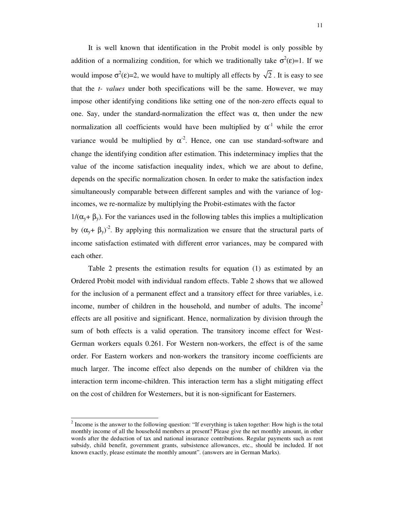It is well known that identification in the Probit model is only possible by addition of a normalizing condition, for which we traditionally take  $\sigma^2(\epsilon)=1$ . If we would impose  $\sigma^2(\epsilon)=2$ , we would have to multiply all effects by  $\sqrt{2}$ . It is easy to see that the *t- values* under both specifications will be the same. However, we may impose other identifying conditions like setting one of the non-zero effects equal to one. Say, under the standard-normalization the effect was  $\alpha$ , then under the new normalization all coefficients would have been multiplied by  $\alpha^{-1}$  while the error variance would be multiplied by  $\alpha^2$ . Hence, one can use standard-software and change the identifying condition after estimation. This indeterminacy implies that the value of the income satisfaction inequality index, which we are about to define, depends on the specific normalization chosen. In order to make the satisfaction index simultaneously comparable between different samples and with the variance of logincomes, we re-normalize by multiplying the Probit-estimates with the factor

 $1/(\alpha_y + \beta_y)$ . For the variances used in the following tables this implies a multiplication by  $(\alpha_{y} + \beta_{y})^2$ . By applying this normalization we ensure that the structural parts of income satisfaction estimated with different error variances, may be compared with each other.

Table 2 presents the estimation results for equation (1) as estimated by an Ordered Probit model with individual random effects. Table 2 shows that we allowed for the inclusion of a permanent effect and a transitory effect for three variables, i.e. income, number of children in the household, and number of adults. The income 2 effects are all positive and significant. Hence, normalization by division through the sum of both effects is a valid operation. The transitory income effect for West-German workers equals 0.261. For Western non-workers, the effect is of the same order. For Eastern workers and non-workers the transitory income coefficients are much larger. The income effect also depends on the number of children via the interaction term income-children. This interaction term has a slight mitigating effect on the cost of children for Westerners, but it is non-significant for Easterners.

 $2^{2}$  Income is the answer to the following question: "If everything is taken together: How high is the total monthly income of all the household members at present? Please give the net monthly amount, in other words after the deduction of tax and national insurance contributions. Regular payments such as rent subsidy, child benefit, government grants, subsistence allowances, etc., should be included. If not known exactly, please estimate the monthly amount". (answers are in German Marks).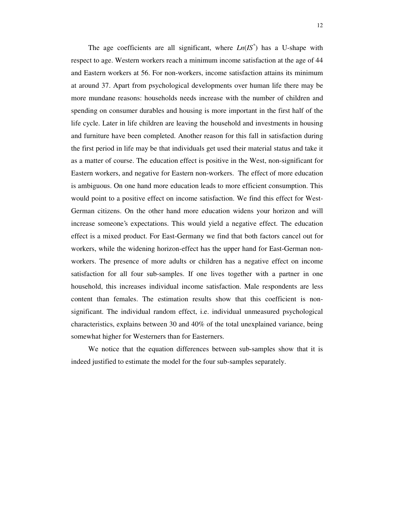The age coefficients are all significant, where  $Ln(\overline{IS}^*)$  has a U-shape with respect to age. Western workers reach a minimum income satisfaction at the age of 44 and Eastern workers at 56. For non-workers, income satisfaction attains its minimum at around 37. Apart from psychological developments over human life there may be more mundane reasons: households needs increase with the number of children and spending on consumer durables and housing is more important in the first half of the life cycle. Later in life children are leaving the household and investments in housing and furniture have been completed. Another reason for this fall in satisfaction during the first period in life may be that individuals get used their material status and take it as a matter of course. The education effect is positive in the West, non-significant for Eastern workers, and negative for Eastern non-workers. The effect of more education is ambiguous. On one hand more education leads to more efficient consumption. This would point to a positive effect on income satisfaction. We find this effect for West-German citizens. On the other hand more education widens your horizon and will increase someone's expectations. This would yield a negative effect. The education effect is a mixed product. For East-Germany we find that both factors cancel out for workers, while the widening horizon-effect has the upper hand for East-German nonworkers. The presence of more adults or children has a negative effect on income satisfaction for all four sub-samples. If one lives together with a partner in one household, this increases individual income satisfaction. Male respondents are less content than females. The estimation results show that this coefficient is nonsignificant. The individual random effect, i.e. individual unmeasured psychological characteristics, explains between 30 and 40% of the total unexplained variance, being somewhat higher for Westerners than for Easterners.

We notice that the equation differences between sub-samples show that it is indeed justified to estimate the model for the four sub-samples separately.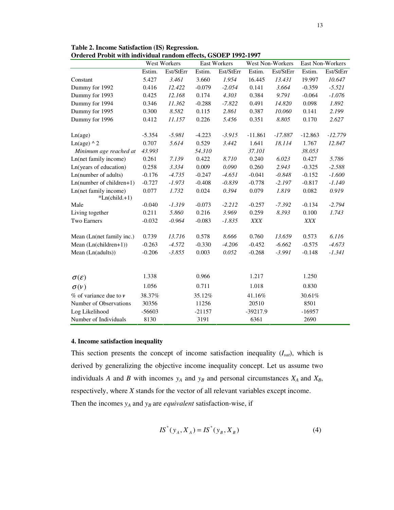13

|                                          |          | West Workers |          | East Workers |            | West Non-Workers |            | East Non-Workers |
|------------------------------------------|----------|--------------|----------|--------------|------------|------------------|------------|------------------|
|                                          | Estim.   | Est/StErr    | Estim.   | Est/StErr    | Estim.     | Est/StErr        | Estim.     | Est/StErr        |
| Constant                                 | 5.427    | 3.461        | 3.660    | 1.954        | 16.445     | 13.431           | 19.997     | 10.647           |
| Dummy for 1992                           | 0.416    | 12.422       | $-0.079$ | $-2.054$     | 0.141      | 3.664            | $-0.359$   | $-5.521$         |
| Dummy for 1993                           | 0.425    | 12.168       | 0.174    | 4.303        | 0.384      | 9.791            | $-0.064$   | $-1.076$         |
| Dummy for 1994                           | 0.346    | 11.362       | $-0.288$ | $-7.822$     | 0.491      | 14.820           | 0.098      | 1.892            |
| Dummy for 1995                           | 0.300    | 8.582        | 0.115    | 2.861        | 0.387      | 10.060           | 0.141      | 2.199            |
| Dummy for 1996                           | 0.412    | 11.157       | 0.226    | 5.456        | 0.351      | 8.805            | 0.170      | 2.627            |
| Ln(age)                                  | $-5.354$ | $-5.981$     | $-4.223$ | $-3.915$     | $-11.861$  | $-17.887$        | $-12.863$  | $-12.779$        |
| Ln(age) $\wedge$ 2                       | 0.707    | 5.614        | 0.529    | 3.442        | 1.641      | 18.114           | 1.767      | 12.847           |
| Minimum age reached at                   | 43.993   |              | 54.310   |              | 37.101     |                  | 38.053     |                  |
| Ln(net family income)                    | 0.261    | 7.139        | 0.422    | 8.710        | 0.240      | 6.023            | 0.427      | 5.786            |
| Ln(years of education)                   | 0.258    | 3.334        | 0.009    | 0.090        | 0.260      | 2.943            | $-0.325$   | $-2.588$         |
| Ln(number of adults)                     | $-0.176$ | $-4.735$     | $-0.247$ | $-4.651$     | $-0.041$   | $-0.848$         | $-0.152$   | $-1.600$         |
| $Ln(number of children+1)$               | $-0.727$ | $-1.973$     | $-0.408$ | $-0.839$     | $-0.778$   | $-2.197$         | $-0.817$   | $-1.140$         |
| Ln(net family income)<br>$*Ln(child.+1)$ | 0.077    | 1.732        | 0.024    | 0.394        | 0.079      | 1.819            | 0.082      | 0.919            |
| Male                                     | $-0.040$ | $-1.319$     | $-0.073$ | $-2.212$     | $-0.257$   | $-7.392$         | $-0.134$   | $-2.794$         |
| Living together                          | 0.211    | 5.860        | 0.216    | 3.969        | 0.259      | 8.393            | 0.100      | 1.743            |
| <b>Two Earners</b>                       | $-0.032$ | $-0.964$     | $-0.083$ | $-1.835$     | <b>XXX</b> |                  | <b>XXX</b> |                  |
| Mean (Ln(net family inc.)                | 0.739    | 13.716       | 0.578    | 8.666        | 0.760      | 13.659           | 0.573      | 6.116            |
| Mean (Ln(children+1))                    | $-0.263$ | $-4.572$     | $-0.330$ | $-4.206$     | $-0.452$   | $-6.662$         | $-0.575$   | $-4.673$         |
| Mean (Ln(adults))                        | $-0.206$ | $-3.855$     | 0.003    | 0.052        | $-0.268$   | $-3.991$         | $-0.148$   | $-1.341$         |
|                                          | 1.338    |              | 0.966    |              | 1.217      |                  | 1.250      |                  |
| $\sigma(\varepsilon)$                    |          |              |          |              |            |                  |            |                  |
| $\sigma(\nu)$                            | 1.056    |              | 0.711    |              | 1.018      |                  | 0.830      |                  |
| $%$ of variance due to $v$               | 38.37%   |              | 35.12%   |              | 41.16%     |                  | 30.61%     |                  |
| Number of Observations                   | 30356    |              | 11256    |              | 20510      |                  | 8501       |                  |
| Log Likelihood                           | $-56603$ |              | $-21157$ |              | -39217.9   |                  | $-16957$   |                  |
| Number of Individuals                    | 8130     |              | 3191     |              | 6361       |                  | 2690       |                  |

**Table 2. Income Satisfaction (IS) Regression. Ordered Probit with individual random effects, GSOEP 1992-1997**

#### **4. Income satisfaction inequality**

This section presents the concept of income satisfaction inequality (*Isat*), which is derived by generalizing the objective income inequality concept. Let us assume two individuals *A* and *B* with incomes  $y_A$  and  $y_B$  and personal circumstances  $X_A$  and  $X_B$ , respectively, where *X* stands for the vector of all relevant variables except income. Then the incomes  $y_A$  and  $y_B$  are *equivalent* satisfaction-wise, if

$$
IS^*(y_A, X_A) = IS^*(y_B, X_B)
$$
 (4)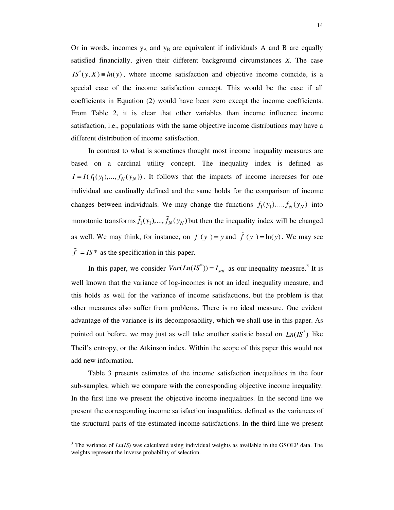Or in words, incomes  $y_A$  and  $y_B$  are equivalent if individuals A and B are equally satisfied financially, given their different background circumstances *X*. The case  $IS^*(y, X) \equiv ln(y)$ , where income satisfaction and objective income coincide, is a special case of the income satisfaction concept. This would be the case if all coefficients in Equation (2) would have been zero except the income coefficients. From Table 2, it is clear that other variables than income influence income satisfaction, i.e., populations with the same objective income distributions may have a different distribution of income satisfaction.

In contrast to what is sometimes thought most income inequality measures are based on a cardinal utility concept. The inequality index is defined as  $I = I(f_1(y_1),..., f_N(y_N))$ . It follows that the impacts of income increases for one individual are cardinally defined and the same holds for the comparison of income changes between individuals. We may change the functions  $f_1(y_1),..., f_N(y_N)$  into monotonic transforms  $\tilde{f}_1(y_1),..., \tilde{f}_N(y_N)$  but then the inequality index will be changed as well. We may think, for instance, on  $f(y) = y$  and  $\tilde{f}(y) = \ln(y)$ . We may see  $\tilde{f}$  = *IS* \* as the specification in this paper.

In this paper, we consider  $Var(Ln(\text{IS}^*)) = I_{sat}$  as our inequality measure.<sup>3</sup> It is well known that the variance of log-incomes is not an ideal inequality measure, and this holds as well for the variance of income satisfactions, but the problem is that other measures also suffer from problems. There is no ideal measure. One evident advantage of the variance is its decomposability, which we shall use in this paper. As pointed out before, we may just as well take another statistic based on  $Ln(IS^*)$  like Theil's entropy, or the Atkinson index. Within the scope of this paper this would not add new information.

Table 3 presents estimates of the income satisfaction inequalities in the four sub-samples, which we compare with the corresponding objective income inequality. In the first line we present the objective income inequalities. In the second line we present the corresponding income satisfaction inequalities, defined as the variances of the structural parts of the estimated income satisfactions. In the third line we present

<sup>&</sup>lt;sup>3</sup> The variance of *Ln*(*IS*) was calculated using individual weights as available in the GSOEP data. The weights represent the inverse probability of selection.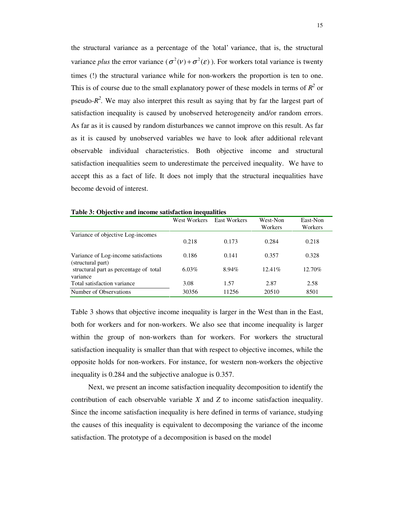the structural variance as a percentage of the 'total' variance, that is, the structural variance *plus* the error variance ( $\sigma^2(v) + \sigma^2(\varepsilon)$ ). For workers total variance is twenty times (!) the structural variance while for non-workers the proportion is ten to one. This is of course due to the small explanatory power of these models in terms of  $R^2$  or pseudo- $R^2$ . We may also interpret this result as saying that by far the largest part of satisfaction inequality is caused by unobserved heterogeneity and/or random errors. As far as it is caused by random disturbances we cannot improve on this result. As far as it is caused by unobserved variables we have to look after additional relevant observable individual characteristics. Both objective income and structural satisfaction inequalities seem to underestimate the perceived inequality. We have to accept this as a fact of life. It does not imply that the structural inequalities have become devoid of interest.

|                                                           | West Workers | <b>East Workers</b> | West-Non<br>Workers | East-Non<br>Workers |
|-----------------------------------------------------------|--------------|---------------------|---------------------|---------------------|
| Variance of objective Log-incomes                         | 0.218        | 0.173               | 0.284               | 0.218               |
| Variance of Log-income satisfactions<br>(structural part) | 0.186        | 0.141               | 0.357               | 0.328               |
| structural part as percentage of total<br>variance        | $6.03\%$     | 8.94%               | $12.41\%$           | 12.70%              |
| Total satisfaction variance                               | 3.08         | 1.57                | 2.87                | 2.58                |
| Number of Observations                                    | 30356        | 11256               | 20510               | 8501                |

**Table 3: Objective and income satisfaction inequalities**

Table 3 shows that objective income inequality is larger in the West than in the East, both for workers and for non-workers. We also see that income inequality is larger within the group of non-workers than for workers. For workers the structural satisfaction inequality is smaller than that with respect to objective incomes, while the opposite holds for non-workers. For instance, for western non-workers the objective inequality is 0.284 and the subjective analogue is 0.357.

Next, we present an income satisfaction inequality decomposition to identify the contribution of each observable variable *X* and *Z* to income satisfaction inequality. Since the income satisfaction inequality is here defined in terms of variance, studying the causes of this inequality is equivalent to decomposing the variance of the income satisfaction. The prototype of a decomposition is based on the model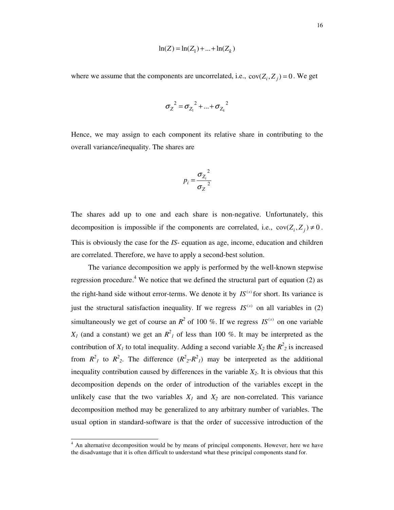$$
\ln(Z) = \ln(Z_1) + \dots + \ln(Z_k)
$$

where we assume that the components are uncorrelated, i.e.,  $cov(Z_i, Z_j) = 0$ . We get

$$
\sigma_Z^2 = \sigma_{Z_1}^2 + ... + \sigma_{Z_k}^2
$$

Hence, we may assign to each component its relative share in contributing to the overall variance/inequality. The shares are

$$
p_i = \frac{{\sigma_{Z_i}}^2}{{\sigma_Z}^2}
$$

The shares add up to one and each share is non-negative. Unfortunately, this decomposition is impossible if the components are correlated, i.e.,  $cov(Z_i, Z_j) \neq 0$ . This is obviously the case for the *IS*- equation as age, income, education and children are correlated. Therefore, we have to apply a second-best solution.

The variance decomposition we apply is performed by the well-known stepwise regression procedure.<sup>4</sup> We notice that we defined the structural part of equation (2) as the right-hand side without error-terms. We denote it by  $IS^{(s)}$  for short. Its variance is just the structural satisfaction inequality. If we regress  $IS^{(s)}$  on all variables in (2) simultaneously we get of course an  $R^2$  of 100 %. If we regress  $IS^{(s)}$  on one variable *X<sub>1</sub>* (and a constant) we get an  $R^2$ <sub>*1*</sub> of less than 100 %. It may be interpreted as the contribution of  $X_I$  to total inequality. Adding a second variable  $X_2$  the  $R_2^2$  is increased from  $R^2$ <sup>1</sup> to  $R^2$ <sub>2</sub>. The difference  $(R^2 \t2 R^2$ <sup>2</sup><sup>1</sup> may be interpreted as the additional inequality contribution caused by differences in the variable *X2*. It is obvious that this decomposition depends on the order of introduction of the variables except in the unlikely case that the two variables  $X_I$  and  $X_2$  are non-correlated. This variance decomposition method may be generalized to any arbitrary number of variables. The usual option in standard-software is that the order of successive introduction of the

<sup>&</sup>lt;sup>4</sup> An alternative decomposition would be by means of principal components. However, here we have the disadvantage that it is often difficult to understand what these principal components stand for.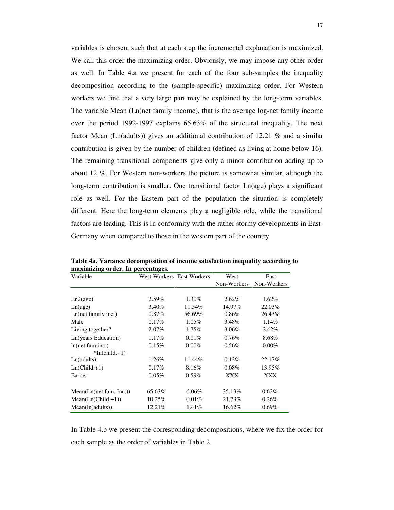variables is chosen, such that at each step the incremental explanation is maximized. We call this order the maximizing order. Obviously, we may impose any other order as well. In Table 4.a we present for each of the four sub-samples the inequality decomposition according to the (sample-specific) maximizing order. For Western workers we find that a very large part may be explained by the long-term variables. The variable Mean (Ln(net family income), that is the average log-net family income over the period 1992-1997 explains 65.63% of the structural inequality. The next factor Mean (Ln(adults)) gives an additional contribution of 12.21 % and a similar contribution is given by the number of children (defined as living at home below 16). The remaining transitional components give only a minor contribution adding up to about 12 %. For Western non-workers the picture is somewhat similar, although the long-term contribution is smaller. One transitional factor Ln(age) plays a significant role as well. For the Eastern part of the population the situation is completely different. Here the long-term elements play a negligible role, while the transitional factors are leading. This is in conformity with the rather stormy developments in East-Germany when compared to those in the western part of the country.

| maximizing vities. In percentages. |                           |          |             |             |
|------------------------------------|---------------------------|----------|-------------|-------------|
| Variable                           | West Workers East Workers |          | West        | East        |
|                                    |                           |          | Non-Workers | Non-Workers |
|                                    |                           |          |             |             |
| Ln2(age)                           | 2.59%                     | 1.30%    | $2.62\%$    | $1.62\%$    |
| Ln(age)                            | 3.40%                     | 11.54%   | 14.97%      | 22.03%      |
| Ln(net family inc.)                | $0.87\%$                  | 56.69%   | 0.86%       | 26.43%      |
| Male                               | 0.17%                     | $1.05\%$ | 3.48%       | $1.14\%$    |
| Living together?                   | $2.07\%$                  | $1.75\%$ | 3.06%       | 2.42%       |
| Ln(years Education)                | 1.17%                     | 0.01%    | 0.76%       | 8.68%       |
| $ln(net$ fam.inc.)                 | 0.15%                     | $0.00\%$ | 0.56%       | $0.00\%$    |
| $*ln(child.+1)$                    |                           |          |             |             |
| Ln(adults)                         | 1.26%                     | 11.44%   | 0.12%       | 22.17%      |
| $Ln(Child.+1)$                     | 0.17%                     | 8.16%    | $0.08\%$    | 13.95%      |
| Earner                             | 0.05%                     | 0.59%    | <b>XXX</b>  | <b>XXX</b>  |
|                                    |                           |          |             |             |
| Mean(Ln(net fam. Inc.))            | 65.63%                    | $6.06\%$ | 35.13%      | 0.62%       |
| $Mean(Ln(Child.+1))$               | $10.25\%$                 | 0.01%    | 21.73%      | 0.26%       |
| Mean(In(adults))                   | 12.21%                    | 1.41%    | 16.62%      | 0.69%       |

**Table 4a. Variance decomposition of income satisfaction inequality according to maximizing order. In percentages.**

In Table 4.b we present the corresponding decompositions, where we fix the order for each sample as the order of variables in Table 2.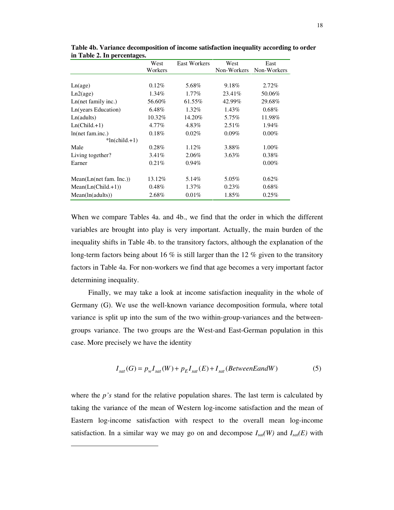|                         | West    | <b>East Workers</b> | West        | East        |
|-------------------------|---------|---------------------|-------------|-------------|
|                         | Workers |                     | Non-Workers | Non-Workers |
|                         |         |                     |             |             |
| Ln(age)                 | 0.12%   | 5.68%               | 9.18%       | $2.72\%$    |
| Ln2(age)                | 1.34%   | $1.77\%$            | 23.41\%     | 50.06%      |
| Ln(net family inc.)     | 56.60%  | 61.55%              | 42.99%      | 29.68%      |
| Ln(years Education)     | 6.48%   | 1.32%               | 1.43%       | $0.68\%$    |
| Ln(adults)              | 10.32%  | 14.20%              | 5.75%       | 11.98%      |
| $Ln(Child.+1)$          | 4.77%   | 4.83%               | 2.51%       | 1.94%       |
| $ln(net$ fam.inc.)      | 0.18%   | 0.02%               | 0.09%       | $0.00\%$    |
| $*ln(child.+1)$         |         |                     |             |             |
| Male                    | 0.28%   | $1.12\%$            | 3.88%       | $1.00\%$    |
| Living together?        | 3.41%   | 2.06%               | $3.63\%$    | $0.38\%$    |
| Earner                  | 0.21%   | $0.94\%$            |             | $0.00\%$    |
|                         |         |                     |             |             |
| Mean(Ln(net fam. Inc.)) | 13.12%  | 5.14%               | 5.05%       | $0.62\%$    |
| $Mean(Ln(Child.+1))$    | 0.48%   | $1.37\%$            | 0.23%       | $0.68\%$    |
| Mean(In(adults))        | 2.68%   | $0.01\%$            | 1.85%       | 0.25%       |

**Table 4b. Variance decomposition of income satisfaction inequality according to order in Table 2. In percentages.**

When we compare Tables 4a. and 4b., we find that the order in which the different variables are brought into play is very important. Actually, the main burden of the inequality shifts in Table 4b. to the transitory factors, although the explanation of the long-term factors being about 16  $\%$  is still larger than the 12  $\%$  given to the transitory factors in Table 4a. For non-workers we find that age becomes a very important factor determining inequality.

Finally, we may take a look at income satisfaction inequality in the whole of Germany (G). We use the well-known variance decomposition formula, where total variance is split up into the sum of the two within-group-variances and the betweengroups variance. The two groups are the West-and East-German population in this case. More precisely we have the identity

$$
I_{sat}(G) = p_w I_{sat}(W) + p_E I_{sat}(E) + I_{sat}(BetweenE and W)
$$
\n<sup>(5)</sup>

where the *p's* stand for the relative population shares. The last term is calculated by taking the variance of the mean of Western log-income satisfaction and the mean of Eastern log-income satisfaction with respect to the overall mean log-income satisfaction. In a similar way we may go on and decompose  $I_{sat}(W)$  and  $I_{sat}(E)$  with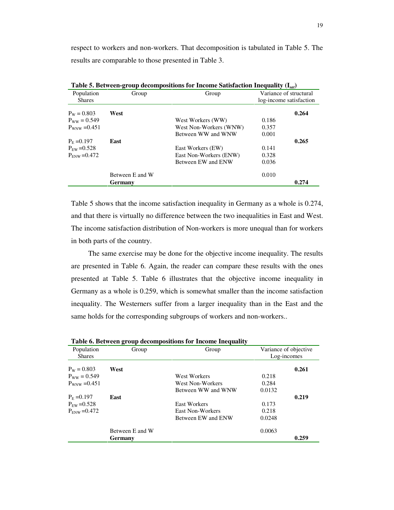respect to workers and non-workers. That decomposition is tabulated in Table 5. The results are comparable to those presented in Table 3.

| Population          | Group           | Group                  | Variance of structural |                         |  |
|---------------------|-----------------|------------------------|------------------------|-------------------------|--|
| <b>Shares</b>       |                 |                        |                        | log-income satisfaction |  |
| $P_{\rm W} = 0.803$ | West            |                        |                        | 0.264                   |  |
| $P_{WW} = 0.549$    |                 | West Workers (WW)      | 0.186                  |                         |  |
| $P_{WNW} = 0.451$   |                 | West Non-Workers (WNW) | 0.357                  |                         |  |
|                     |                 | Between WW and WNW     | 0.001                  |                         |  |
| $P_{\rm E} = 0.197$ | East            |                        |                        | 0.265                   |  |
| $P_{FW} = 0.528$    |                 | East Workers (EW)      | 0.141                  |                         |  |
| $P_{FNW} = 0.472$   |                 | East Non-Workers (ENW) | 0.328                  |                         |  |
|                     |                 | Between EW and ENW     | 0.036                  |                         |  |
|                     | Between E and W |                        | 0.010                  |                         |  |
|                     | Germany         |                        |                        | 0.274                   |  |

**Table 5. Between-group decompositions for Income Satisfaction Inequality (I***sat***)**

Table 5 shows that the income satisfaction inequality in Germany as a whole is 0.274, and that there is virtually no difference between the two inequalities in East and West. The income satisfaction distribution of Non-workers is more unequal than for workers in both parts of the country.

The same exercise may be done for the objective income inequality. The results are presented in Table 6. Again, the reader can compare these results with the ones presented at Table 5. Table 6 illustrates that the objective income inequality in Germany as a whole is 0.259, which is somewhat smaller than the income satisfaction inequality. The Westerners suffer from a larger inequality than in the East and the same holds for the corresponding subgroups of workers and non-workers..

| Population<br><b>Shares</b> | Group           | Group                   | Variance of objective<br>Log-incomes |       |
|-----------------------------|-----------------|-------------------------|--------------------------------------|-------|
| $P_{\rm w} = 0.803$         | West            |                         |                                      | 0.261 |
| $P_{WW} = 0.549$            |                 | West Workers            | 0.218                                |       |
| $P_{WNW} = 0.451$           |                 | <b>West Non-Workers</b> | 0.284                                |       |
|                             |                 | Between WW and WNW      | 0.0132                               |       |
| $P_{E} = 0.197$             | East            |                         |                                      | 0.219 |
| $P_{\text{EW}} = 0.528$     |                 | <b>East Workers</b>     | 0.173                                |       |
| $P_{FNW} = 0.472$           |                 | <b>East Non-Workers</b> | 0.218                                |       |
|                             |                 | Between EW and ENW      | 0.0248                               |       |
|                             | Between E and W |                         | 0.0063                               |       |
|                             | Germany         |                         |                                      | 0.259 |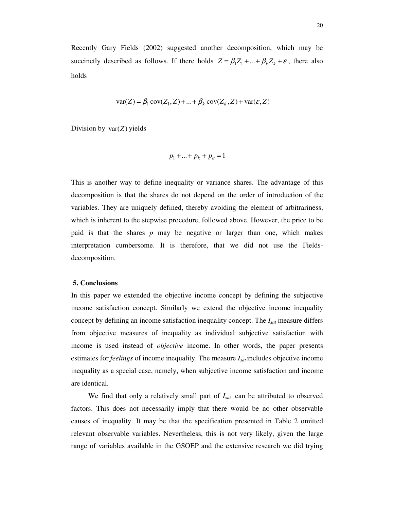Recently Gary Fields (2002) suggested another decomposition, which may be succinctly described as follows. If there holds  $Z = \beta_1 Z_1 + ... + \beta_k Z_k + \varepsilon$ , there also holds

$$
var(Z) = \beta_1 cov(Z_1, Z) + ... + \beta_k cov(Z_k, Z) + var(\varepsilon, Z)
$$

Division by var(*Z*) yields

$$
p_1 + \ldots + p_k + p_{\varepsilon} = 1
$$

This is another way to define inequality or variance shares. The advantage of this decomposition is that the shares do not depend on the order of introduction of the variables. They are uniquely defined, thereby avoiding the element of arbitrariness, which is inherent to the stepwise procedure, followed above. However, the price to be paid is that the shares *p* may be negative or larger than one, which makes interpretation cumbersome. It is therefore, that we did not use the Fieldsdecomposition.

#### **5. Conclusions**

In this paper we extended the objective income concept by defining the subjective income satisfaction concept. Similarly we extend the objective income inequality concept by defining an income satisfaction inequality concept. The *Isat* measure differs from objective measures of inequality as individual subjective satisfaction with income is used instead of *objective* income. In other words, the paper presents estimates for *feelings* of income inequality. The measure *Isat* includes objective income inequality as a special case, namely, when subjective income satisfaction and income are identical.

We find that only a relatively small part of *Isat* can be attributed to observed factors. This does not necessarily imply that there would be no other observable causes of inequality. It may be that the specification presented in Table 2 omitted relevant observable variables. Nevertheless, this is not very likely, given the large range of variables available in the GSOEP and the extensive research we did trying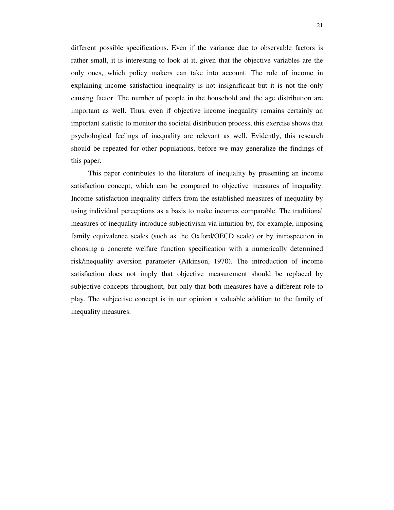different possible specifications. Even if the variance due to observable factors is rather small, it is interesting to look at it, given that the objective variables are the only ones, which policy makers can take into account. The role of income in explaining income satisfaction inequality is not insignificant but it is not the only causing factor. The number of people in the household and the age distribution are important as well. Thus, even if objective income inequality remains certainly an important statistic to monitor the societal distribution process, this exercise shows that psychological feelings of inequality are relevant as well. Evidently, this research should be repeated for other populations, before we may generalize the findings of this paper.

This paper contributes to the literature of inequality by presenting an income satisfaction concept, which can be compared to objective measures of inequality. Income satisfaction inequality differs from the established measures of inequality by using individual perceptions as a basis to make incomes comparable. The traditional measures of inequality introduce subjectivism via intuition by, for example, imposing family equivalence scales (such as the Oxford/OECD scale) or by introspection in choosing a concrete welfare function specification with a numerically determined risk/inequality aversion parameter (Atkinson, 1970). The introduction of income satisfaction does not imply that objective measurement should be replaced by subjective concepts throughout, but only that both measures have a different role to play. The subjective concept is in our opinion a valuable addition to the family of inequality measures.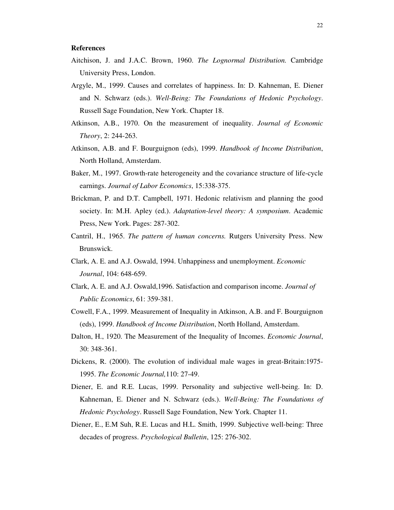#### **References**

- Aitchison, J. and J.A.C. Brown, 1960. *The Lognormal Distribution.* Cambridge University Press, London.
- Argyle, M., 1999. Causes and correlates of happiness. In: D. Kahneman, E. Diener and N. Schwarz (eds.). *Well-Being: The Foundations of Hedonic Psychology*. Russell Sage Foundation, New York. Chapter 18.
- Atkinson, A.B., 1970. On the measurement of inequality. *Journal of Economic Theory*, 2: 244-263.
- Atkinson, A.B. and F. Bourguignon (eds), 1999. *Handbook of Income Distribution*, North Holland, Amsterdam.
- Baker, M., 1997. Growth-rate heterogeneity and the covariance structure of life-cycle earnings. *Journal of Labor Economics*, 15:338-375.
- Brickman, P. and D.T. Campbell, 1971. Hedonic relativism and planning the good society. In: M.H. Apley (ed.). *Adaptation-level theory: A symposium*. Academic Press, New York. Pages: 287-302.
- Cantril, H., 1965. *The pattern of human concerns.* Rutgers University Press. New Brunswick.
- Clark, A. E. and A.J. Oswald, 1994. Unhappiness and unemployment. *Economic Journal*, 104: 648-659.
- Clark, A. E. and A.J. Oswald,1996. Satisfaction and comparison income. *Journal of Public Economics*, 61: 359-381.
- Cowell, F.A., 1999. Measurement of Inequality in Atkinson, A.B. and F. Bourguignon (eds), 1999. *Handbook of Income Distribution*, North Holland, Amsterdam.
- Dalton, H., 1920. The Measurement of the Inequality of Incomes. *Economic Journal*, 30: 348-361.
- Dickens, R. (2000). The evolution of individual male wages in great-Britain:1975- 1995. *The Economic Journal,*110: 27-49.
- Diener, E. and R.E. Lucas, 1999. Personality and subjective well-being. In: D. Kahneman, E. Diener and N. Schwarz (eds.). *Well-Being: The Foundations of Hedonic Psychology*. Russell Sage Foundation, New York. Chapter 11.
- Diener, E., E.M Suh, R.E. Lucas and H.L. Smith, 1999. Subjective well-being: Three decades of progress. *Psychological Bulletin*, 125: 276-302.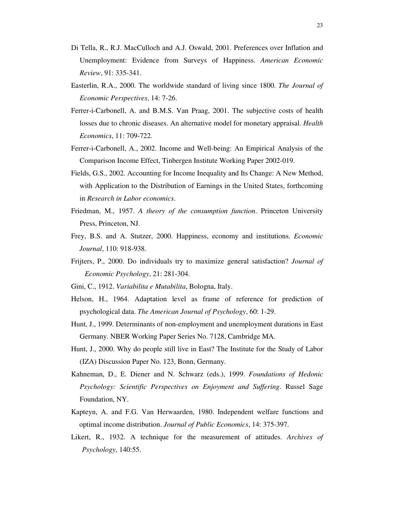- Di Tella, R., R.J. MacCulloch and A.J. Oswald, 2001. Preferences over Inflation and Unemployment: Evidence from Surveys of Happiness. *American Economic Review*, 91: 335-341.
- Easterlin, R.A., 2000. The worldwide standard of living since 1800. *The Journal of Economic Perspectives*, 14: 7-26.
- Ferrer-i-Carbonell, A. and B.M.S. Van Praag, 2001. The subjective costs of health losses due to chronic diseases. An alternative model for monetary appraisal. *Health Economics*, 11: 709-722.
- Ferrer-i-Carbonell, A., 2002. Income and Well-being: An Empirical Analysis of the Comparison Income Effect, Tinbergen Institute Working Paper 2002-019.
- Fields, G.S., 2002. Accounting for Income Inequality and Its Change: A New Method, with Application to the Distribution of Earnings in the United States, forthcoming in *Research in Labor economics*.
- Friedman, M., 1957. *A theory of the consumption function*. Princeton University Press, Princeton, NJ.
- Frey, B.S. and A. Stutzer, 2000. Happiness, economy and institutions. *Economic Journal*, 110: 918-938.
- Frijters, P., 2000. Do individuals try to maximize general satisfaction? *Journal of Economic Psychology*, 21: 281-304.
- Gini, C., 1912. *Variabilita e Mutabilita*, Bologna, Italy.
- Helson, H., 1964. Adaptation level as frame of reference for prediction of psychological data. *The American Journal of Psychology*, 60: 1-29.
- Hunt, J., 1999. Determinants of non-employment and unemployment durations in East Germany. NBER Working Paper Series No. 7128, Cambridge MA.
- Hunt, J., 2000. Why do people still live in East? The Institute for the Study of Labor (IZA) Discussion Paper No. 123, Bonn, Germany.
- Kahneman, D., E. Diener and N. Schwarz (eds.), 1999. *Foundations of Hedonic Psychology: Scientific Perspectives on Enjoyment and Suffering*. Russel Sage Foundation, NY.
- Kapteyn, A. and F.G. Van Herwaarden, 1980. Independent welfare functions and optimal income distribution. *Journal of Public Economics*, 14: 375-397.
- Likert, R., 1932. A technique for the measurement of attitudes. *Archives of Psychology*, 140:55.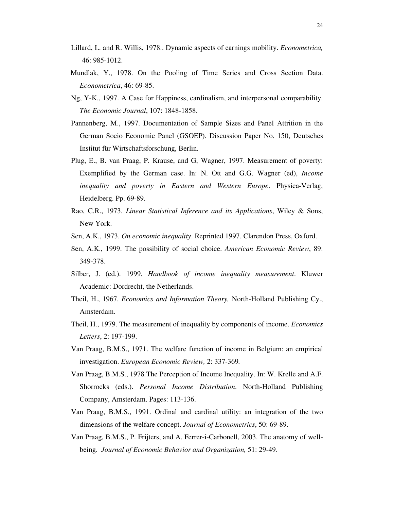- Lillard, L. and R. Willis, 1978.. Dynamic aspects of earnings mobility. *Econometrica,* 46: 985-1012.
- Mundlak, Y., 1978. On the Pooling of Time Series and Cross Section Data. *Econometrica*, 46: 69-85.
- Ng, Y-K., 1997. A Case for Happiness, cardinalism, and interpersonal comparability. *The Economic Journal*, 107: 1848-1858.
- Pannenberg, M., 1997. Documentation of Sample Sizes and Panel Attrition in the German Socio Economic Panel (GSOEP). Discussion Paper No. 150, Deutsches Institut für Wirtschaftsforschung, Berlin.
- Plug, E., B. van Praag, P. Krause, and G, Wagner, 1997. Measurement of poverty: Exemplified by the German case. In: N. Ott and G.G. Wagner (ed), *Income inequality and poverty in Eastern and Western Europe*. Physica-Verlag, Heidelberg. Pp. 69-89.
- Rao, C.R., 1973. *Linear Statistical Inference and its Applications*, Wiley & Sons, New York.
- Sen, A.K., 1973. *On economic inequality*. Reprinted 1997. Clarendon Press, Oxford.
- Sen, A.K., 1999. The possibility of social choice. *American Economic Review*, 89: 349-378.
- Silber, J. (ed.). 1999. *Handbook of income inequality measurement*. Kluwer Academic: Dordrecht, the Netherlands.
- Theil, H., 1967. *Economics and Information Theory,* North-Holland Publishing Cy., Amsterdam.
- Theil, H., 1979. The measurement of inequality by components of income. *Economics Letters*, 2: 197-199.
- Van Praag, B.M.S., 1971. The welfare function of income in Belgium: an empirical investigation. *European Economic Review,* 2: 337-369*.*
- Van Praag, B.M.S., 1978*.*The Perception of Income Inequality. In: W. Krelle and A.F. Shorrocks (eds.). *Personal Income Distribution*. North-Holland Publishing Company, Amsterdam. Pages: 113-136.
- Van Praag, B.M.S., 1991. Ordinal and cardinal utility: an integration of the two dimensions of the welfare concept. *Journal of Econometrics*, 50: 69-89.
- Van Praag, B.M.S., P. Frijters, and A. Ferrer-i-Carbonell, 2003. The anatomy of wellbeing. *Journal of Economic Behavior and Organization,* 51: 29-49.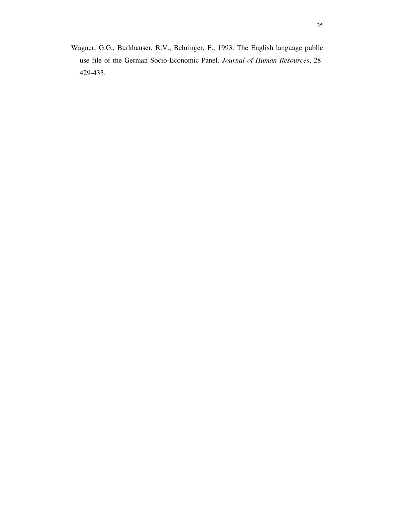Wagner, G.G., Burkhauser, R.V., Behringer, F., 1993. The English language public use file of the German Socio-Economic Panel. *Journal of Human Resources*, 28: 429-433.